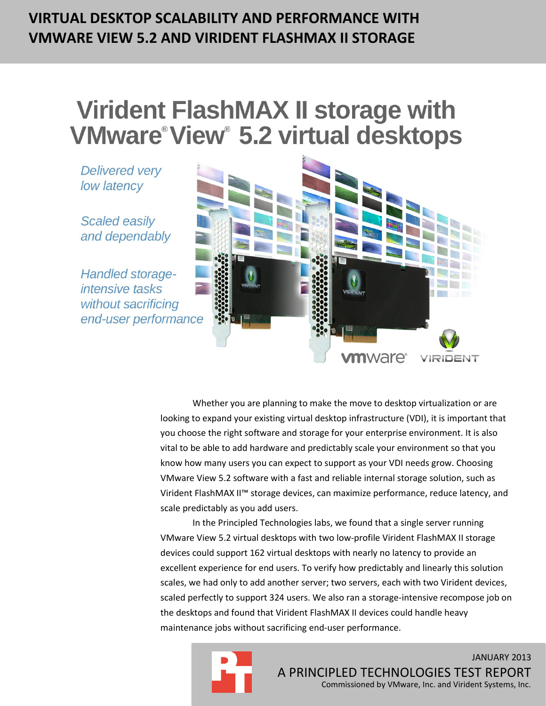## **VIRTUAL DESKTOP SCALABILITY AND PERFORMANCE WITH VMWARE VIEW 5.2 AND VIRIDENT FLASHMAX II STORAGE**

# **Virident FlashMAX II storage with VMware View 5.2 virtual desktops**

**Delivered very** low latency

**Scaled easily** and dependably

Handled storageintensive tasks without sacrificing end-user performance



Whether you are planning to make the move to desktop virtualization or are looking to expand your existing virtual desktop infrastructure (VDI), it is important that you choose the right software and storage for your enterprise environment. It is also vital to be able to add hardware and predictably scale your environment so that you know how many users you can expect to support as your VDI needs grow. Choosing VMware View 5.2 software with a fast and reliable internal storage solution, such as Virident FlashMAX II™ storage devices, can maximize performance, reduce latency, and scale predictably as you add users.

In the Principled Technologies labs, we found that a single server running VMware View 5.2 virtual desktops with two low-profile Virident FlashMAX II storage devices could support 162 virtual desktops with nearly no latency to provide an excellent experience for end users. To verify how predictably and linearly this solution scales, we had only to add another server; two servers, each with two Virident devices, scaled perfectly to support 324 users. We also ran a storage-intensive recompose job on the desktops and found that Virident FlashMAX II devices could handle heavy maintenance jobs without sacrificing end-user performance.



JANUARY 2013 A PRINCIPLED TECHNOLOGIES TEST REPORT Commissioned by VMware, Inc. and Virident Systems, Inc.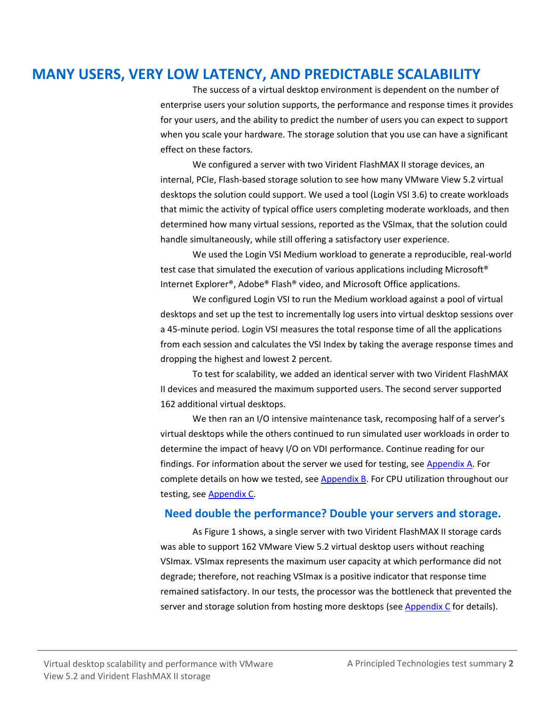## **MANY USERS, VERY LOW LATENCY, AND PREDICTABLE SCALABILITY**

The success of a virtual desktop environment is dependent on the number of enterprise users your solution supports, the performance and response times it provides for your users, and the ability to predict the number of users you can expect to support when you scale your hardware. The storage solution that you use can have a significant effect on these factors.

We configured a server with two Virident FlashMAX II storage devices, an internal, PCIe, Flash-based storage solution to see how many VMware View 5.2 virtual desktops the solution could support. We used a tool (Login VSI 3.6) to create workloads that mimic the activity of typical office users completing moderate workloads, and then determined how many virtual sessions, reported as the VSImax, that the solution could handle simultaneously, while still offering a satisfactory user experience.

We used the Login VSI Medium workload to generate a reproducible, real-world test case that simulated the execution of various applications including Microsoft® Internet Explorer®, Adobe® Flash® video, and Microsoft Office applications.

We configured Login VSI to run the Medium workload against a pool of virtual desktops and set up the test to incrementally log users into virtual desktop sessions over a 45-minute period. Login VSI measures the total response time of all the applications from each session and calculates the VSI Index by taking the average response times and dropping the highest and lowest 2 percent.

To test for scalability, we added an identical server with two Virident FlashMAX II devices and measured the maximum supported users. The second server supported 162 additional virtual desktops.

We then ran an I/O intensive maintenance task, recomposing half of a server's virtual desktops while the others continued to run simulated user workloads in order to determine the impact of heavy I/O on VDI performance. Continue reading for our findings. For information about the server we used for testing, se[e Appendix A.](#page-7-0) For complete details on how we tested, see [Appendix B.](#page-9-0) For CPU utilization throughout our testing, se[e Appendix C.](#page-25-0)

## **Need double the performance? Double your servers and storage.**

As Figure 1 shows, a single server with two Virident FlashMAX II storage cards was able to support 162 VMware View 5.2 virtual desktop users without reaching VSImax. VSImax represents the maximum user capacity at which performance did not degrade; therefore, not reaching VSImax is a positive indicator that response time remained satisfactory. In our tests, the processor was the bottleneck that prevented the server and storage solution from hosting more desktops (see  $\Delta p$  pendix  $\epsilon$  for details).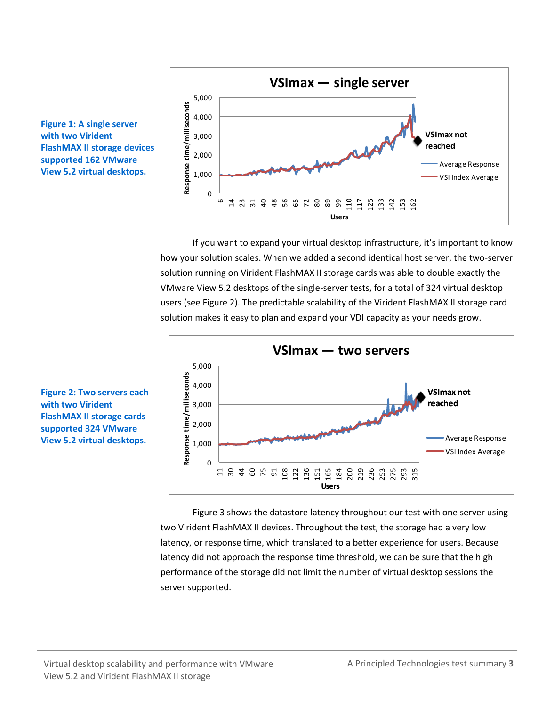

If you want to expand your virtual desktop infrastructure, it's important to know how your solution scales. When we added a second identical host server, the two-server solution running on Virident FlashMAX II storage cards was able to double exactly the VMware View 5.2 desktops of the single-server tests, for a total of 324 virtual desktop users (see Figure 2). The predictable scalability of the Virident FlashMAX II storage card solution makes it easy to plan and expand your VDI capacity as your needs grow.



Figure 3 shows the datastore latency throughout our test with one server using two Virident FlashMAX II devices. Throughout the test, the storage had a very low latency, or response time, which translated to a better experience for users. Because latency did not approach the response time threshold, we can be sure that the high performance of the storage did not limit the number of virtual desktop sessions the server supported.



**Figure 2: Two servers each with two Virident FlashMAX II storage cards supported 324 VMware View 5.2 virtual desktops.**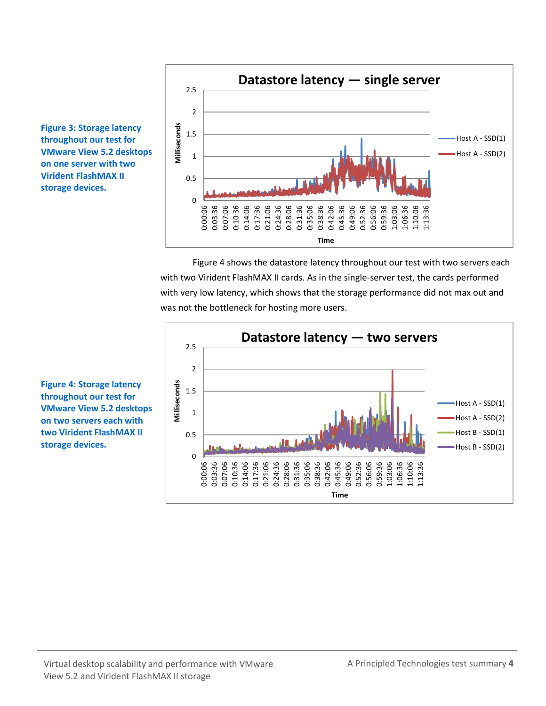

Figure 4 shows the datastore latency throughout our test with two servers each with two Virident FlashMAX II cards. As in the single-server test, the cards performed with very low latency, which shows that the storage performance did not max out and was not the bottleneck for hosting more users.



**Figure 3: Storage latency throughout our test for VMware View 5.2 desktops on one server with two Virident FlashMAX II storage devices.**

**Figure 4: Storage latency throughout our test for VMware View 5.2 desktops on two servers each with two Virident FlashMAX II storage devices.**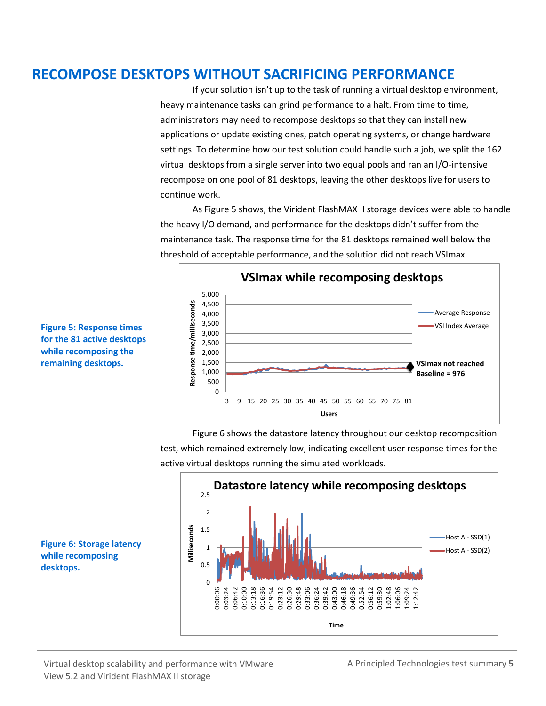## **RECOMPOSE DESKTOPS WITHOUT SACRIFICING PERFORMANCE**

If your solution isn't up to the task of running a virtual desktop environment, heavy maintenance tasks can grind performance to a halt. From time to time, administrators may need to recompose desktops so that they can install new applications or update existing ones, patch operating systems, or change hardware settings. To determine how our test solution could handle such a job, we split the 162 virtual desktops from a single server into two equal pools and ran an I/O-intensive recompose on one pool of 81 desktops, leaving the other desktops live for users to continue work.

As Figure 5 shows, the Virident FlashMAX II storage devices were able to handle the heavy I/O demand, and performance for the desktops didn't suffer from the maintenance task. The response time for the 81 desktops remained well below the threshold of acceptable performance, and the solution did not reach VSImax.



**Figure 5: Response times for the 81 active desktops while recomposing the remaining desktops.**

> Figure 6 shows the datastore latency throughout our desktop recomposition test, which remained extremely low, indicating excellent user response times for the active virtual desktops running the simulated workloads.



**Figure 6: Storage latency while recomposing desktops.**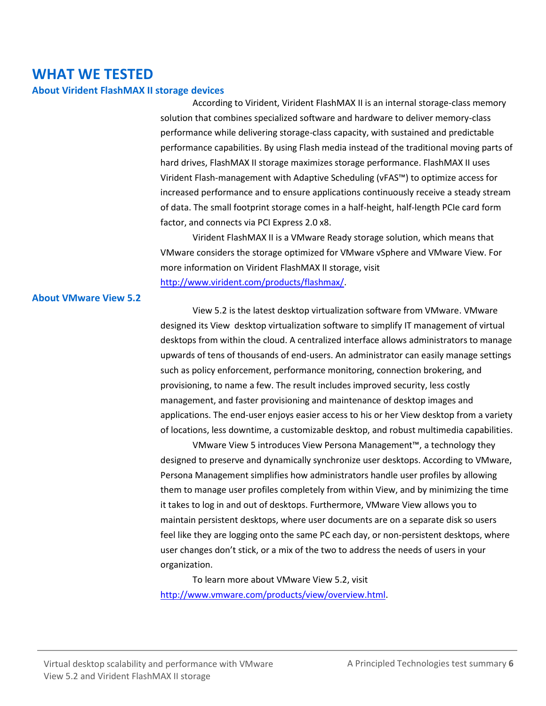## **WHAT WE TESTED**

### **About Virident FlashMAX II storage devices**

According to Virident, Virident FlashMAX II is an internal storage-class memory solution that combines specialized software and hardware to deliver memory-class performance while delivering storage-class capacity, with sustained and predictable performance capabilities. By using Flash media instead of the traditional moving parts of hard drives, FlashMAX II storage maximizes storage performance. FlashMAX II uses Virident Flash-management with Adaptive Scheduling (vFAS™) to optimize access for increased performance and to ensure applications continuously receive a steady stream of data. The small footprint storage comes in a half-height, half-length PCIe card form factor, and connects via PCI Express 2.0 x8.

Virident FlashMAX II is a VMware Ready storage solution, which means that VMware considers the storage optimized for VMware vSphere and VMware View. For more information on Virident FlashMAX II storage, visit [http://www.virident.com/products/flashmax/.](http://www.virident.com/products/flashmax/)

### **About VMware View 5.2**

View 5.2 is the latest desktop virtualization software from VMware. VMware designed its View desktop virtualization software to simplify IT management of virtual desktops from within the cloud. A centralized interface allows administrators to manage upwards of tens of thousands of end-users. An administrator can easily manage settings such as policy enforcement, performance monitoring, connection brokering, and provisioning, to name a few. The result includes improved security, less costly management, and faster provisioning and maintenance of desktop images and applications. The end-user enjoys easier access to his or her View desktop from a variety of locations, less downtime, a customizable desktop, and robust multimedia capabilities.

VMware View 5 introduces View Persona Management™, a technology they designed to preserve and dynamically synchronize user desktops. According to VMware, Persona Management simplifies how administrators handle user profiles by allowing them to manage user profiles completely from within View, and by minimizing the time it takes to log in and out of desktops. Furthermore, VMware View allows you to maintain persistent desktops, where user documents are on a separate disk so users feel like they are logging onto the same PC each day, or non-persistent desktops, where user changes don't stick, or a mix of the two to address the needs of users in your organization.

To learn more about VMware View 5.2, visit [http://www.vmware.com/products/view/overview.html.](http://www.vmware.com/products/view/overview.html)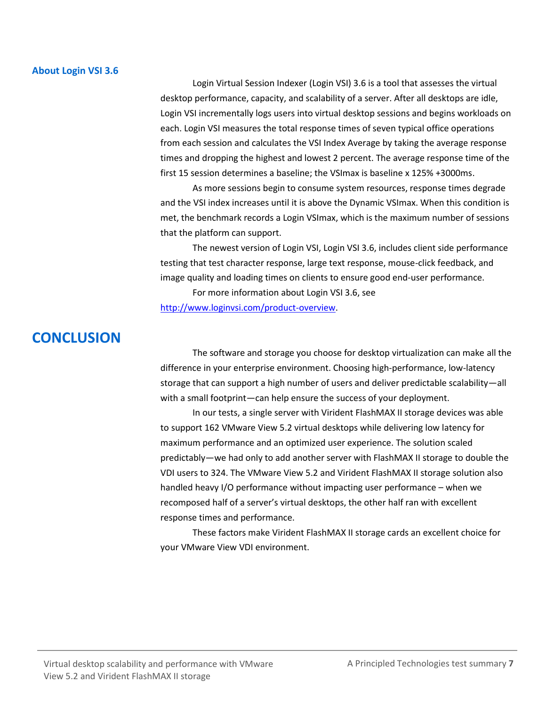### **About Login VSI 3.6**

Login Virtual Session Indexer (Login VSI) 3.6 is a tool that assesses the virtual desktop performance, capacity, and scalability of a server. After all desktops are idle, Login VSI incrementally logs users into virtual desktop sessions and begins workloads on each. Login VSI measures the total response times of seven typical office operations from each session and calculates the VSI Index Average by taking the average response times and dropping the highest and lowest 2 percent. The average response time of the first 15 session determines a baseline; the VSImax is baseline x 125% +3000ms.

As more sessions begin to consume system resources, response times degrade and the VSI index increases until it is above the Dynamic VSImax. When this condition is met, the benchmark records a Login VSImax, which is the maximum number of sessions that the platform can support.

The newest version of Login VSI, Login VSI 3.6, includes client side performance testing that test character response, large text response, mouse-click feedback, and image quality and loading times on clients to ensure good end-user performance.

For more information about Login VSI 3.6, see

[http://www.loginvsi.com/product-overview.](http://www.loginvsi.com/product-overview)

## **CONCLUSION**

The software and storage you choose for desktop virtualization can make all the difference in your enterprise environment. Choosing high-performance, low-latency storage that can support a high number of users and deliver predictable scalability—all with a small footprint—can help ensure the success of your deployment.

In our tests, a single server with Virident FlashMAX II storage devices was able to support 162 VMware View 5.2 virtual desktops while delivering low latency for maximum performance and an optimized user experience. The solution scaled predictably—we had only to add another server with FlashMAX II storage to double the VDI users to 324. The VMware View 5.2 and Virident FlashMAX II storage solution also handled heavy I/O performance without impacting user performance – when we recomposed half of a server's virtual desktops, the other half ran with excellent response times and performance.

These factors make Virident FlashMAX II storage cards an excellent choice for your VMware View VDI environment.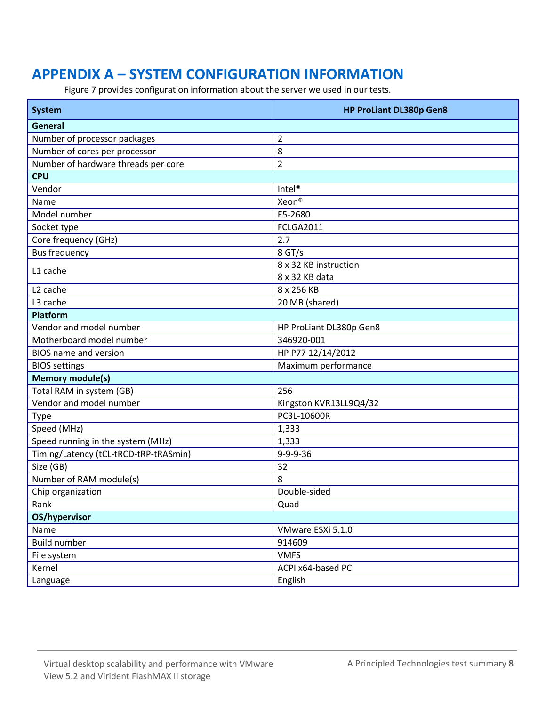## <span id="page-7-0"></span>**APPENDIX A – SYSTEM CONFIGURATION INFORMATION**

Figure 7 provides configuration information about the server we used in our tests.

| <b>System</b>                         | <b>HP ProLiant DL380p Gen8</b> |  |  |  |
|---------------------------------------|--------------------------------|--|--|--|
| General                               |                                |  |  |  |
| Number of processor packages          | $\overline{2}$                 |  |  |  |
| Number of cores per processor         | 8                              |  |  |  |
| Number of hardware threads per core   | $\overline{2}$                 |  |  |  |
| <b>CPU</b>                            |                                |  |  |  |
| Vendor                                | Intel <sup>®</sup>             |  |  |  |
| Name                                  | Xeon®                          |  |  |  |
| Model number                          | E5-2680                        |  |  |  |
| Socket type                           | <b>FCLGA2011</b>               |  |  |  |
| Core frequency (GHz)                  | 2.7                            |  |  |  |
| <b>Bus frequency</b>                  | 8 GT/s                         |  |  |  |
| L1 cache                              | 8 x 32 KB instruction          |  |  |  |
|                                       | 8 x 32 KB data                 |  |  |  |
| L <sub>2</sub> cache                  | 8 x 256 KB                     |  |  |  |
| L3 cache                              | 20 MB (shared)                 |  |  |  |
| <b>Platform</b>                       |                                |  |  |  |
| Vendor and model number               | HP ProLiant DL380p Gen8        |  |  |  |
| Motherboard model number              | 346920-001                     |  |  |  |
| <b>BIOS name and version</b>          | HP P77 12/14/2012              |  |  |  |
| <b>BIOS settings</b>                  | Maximum performance            |  |  |  |
| <b>Memory module(s)</b>               |                                |  |  |  |
| Total RAM in system (GB)              | 256                            |  |  |  |
| Vendor and model number               | Kingston KVR13LL9Q4/32         |  |  |  |
| Type                                  | PC3L-10600R                    |  |  |  |
| Speed (MHz)                           | 1,333                          |  |  |  |
| Speed running in the system (MHz)     | 1,333                          |  |  |  |
| Timing/Latency (tCL-tRCD-tRP-tRASmin) | $9 - 9 - 9 - 36$               |  |  |  |
| Size (GB)                             | 32                             |  |  |  |
| Number of RAM module(s)               | 8                              |  |  |  |
| Chip organization                     | Double-sided                   |  |  |  |
| Rank                                  | Quad                           |  |  |  |
| OS/hypervisor                         |                                |  |  |  |
| Name                                  | VMware ESXi 5.1.0              |  |  |  |
| <b>Build number</b>                   | 914609                         |  |  |  |
| File system                           | <b>VMFS</b>                    |  |  |  |
| Kernel                                | ACPI x64-based PC              |  |  |  |
| Language                              | English                        |  |  |  |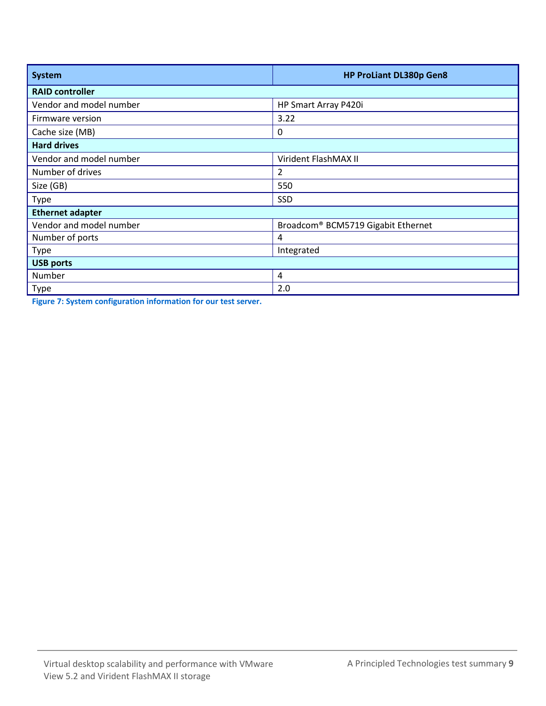| <b>System</b>           | <b>HP ProLiant DL380p Gen8</b>     |  |  |  |
|-------------------------|------------------------------------|--|--|--|
| <b>RAID controller</b>  |                                    |  |  |  |
| Vendor and model number | HP Smart Array P420i               |  |  |  |
| Firmware version        | 3.22                               |  |  |  |
| Cache size (MB)         | $\boldsymbol{0}$                   |  |  |  |
| <b>Hard drives</b>      |                                    |  |  |  |
| Vendor and model number | Virident FlashMAX II               |  |  |  |
| Number of drives        | 2                                  |  |  |  |
| Size (GB)               | 550                                |  |  |  |
| <b>Type</b>             | SSD                                |  |  |  |
| <b>Ethernet adapter</b> |                                    |  |  |  |
| Vendor and model number | Broadcom® BCM5719 Gigabit Ethernet |  |  |  |
| Number of ports         | 4                                  |  |  |  |
| Type                    | Integrated                         |  |  |  |
| <b>USB ports</b>        |                                    |  |  |  |
| Number                  | 4                                  |  |  |  |
| Type                    | 2.0                                |  |  |  |

**Figure 7: System configuration information for our test server.**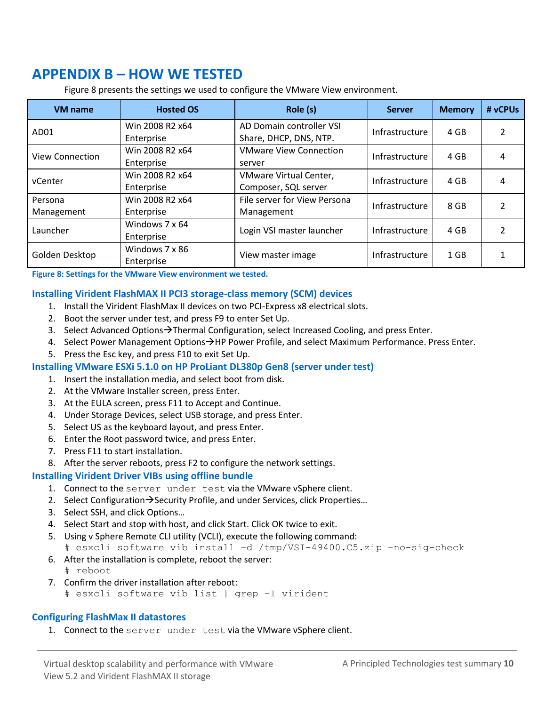## <span id="page-9-0"></span>**APPENDIX B – HOW WE TESTED**

Figure 8 presents the settings we used to configure the VMware View environment.

| <b>VM</b> name         | <b>Hosted OS</b>              | Role (s)                                           | <b>Server</b>  | <b>Memory</b> | # vCPUs        |
|------------------------|-------------------------------|----------------------------------------------------|----------------|---------------|----------------|
| AD <sub>01</sub>       | Win 2008 R2 x64<br>Enterprise | AD Domain controller VSI<br>Share, DHCP, DNS, NTP. | Infrastructure | 4 GB          | 2              |
| <b>View Connection</b> | Win 2008 R2 x64<br>Enterprise | <b>VMware View Connection</b><br>server            | Infrastructure | 4 GB          | 4              |
| vCenter                | Win 2008 R2 x64<br>Enterprise | VMware Virtual Center,<br>Composer, SQL server     | Infrastructure | 4 GB          | 4              |
| Persona<br>Management  | Win 2008 R2 x64<br>Enterprise | File server for View Persona<br>Management         | Infrastructure | 8 GB          | 2              |
| Launcher               | Windows 7 x 64<br>Enterprise  | Login VSI master launcher                          | Infrastructure | 4 GB          | $\mathfrak{p}$ |
| Golden Desktop         | Windows 7 x 86<br>Enterprise  | View master image                                  | Infrastructure | $1$ GB        |                |

**Figure 8: Settings for the VMware View environment we tested.**

## **Installing Virident FlashMAX II PCI3 storage-class memory (SCM) devices**

- 1. Install the Virident FlashMax II devices on two PCI-Express x8 electrical slots.
- 2. Boot the server under test, and press F9 to enter Set Up.
- 3. Select Advanced Options $\rightarrow$ Thermal Configuration, select Increased Cooling, and press Enter.
- 4. Select Power Management Options > HP Power Profile, and select Maximum Performance. Press Enter.
- 5. Press the Esc key, and press F10 to exit Set Up.

## **Installing VMware ESXi 5.1.0 on HP ProLiant DL380p Gen8 (server under test)**

- 1. Insert the installation media, and select boot from disk.
- 2. At the VMware Installer screen, press Enter.
- 3. At the EULA screen, press F11 to Accept and Continue.
- 4. Under Storage Devices, select USB storage, and press Enter.
- 5. Select US as the keyboard layout, and press Enter.
- 6. Enter the Root password twice, and press Enter.
- 7. Press F11 to start installation.
- 8. After the server reboots, press F2 to configure the network settings.

## **Installing Virident Driver VIBs using offline bundle**

- 1. Connect to the server under test via the VMware vSphere client.
- 2. Select Configuration $\rightarrow$ Security Profile, and under Services, click Properties...
- 3. Select SSH, and click Options…
- 4. Select Start and stop with host, and click Start. Click OK twice to exit.
- 5. Using v Sphere Remote CLI utility (VCLI), execute the following command: # esxcli software vib install –d /tmp/VSI-49400.C5.zip –no-sig-check
- 6. After the installation is complete, reboot the server: # reboot
- 7. Confirm the driver installation after reboot:
	- # esxcli software vib list | grep –I virident

## **Configuring FlashMax II datastores**

1. Connect to the server under test via the VMware vSphere client.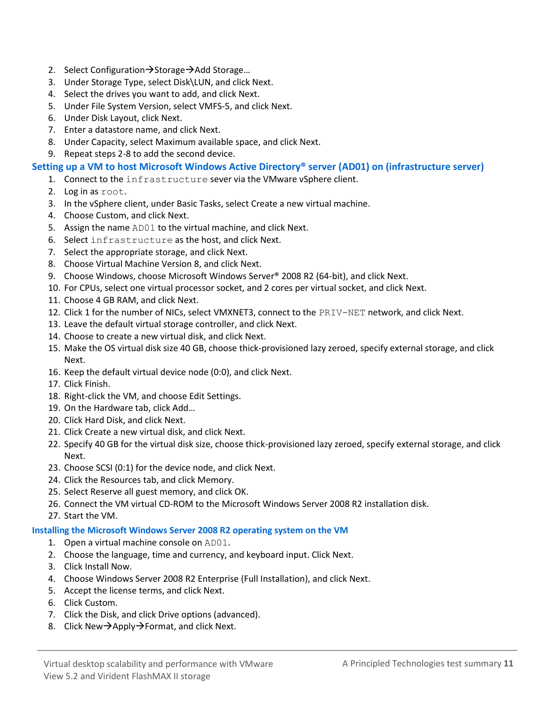- 2. Select Configuration $\rightarrow$ Storage $\rightarrow$ Add Storage...
- 3. Under Storage Type, select Disk\LUN, and click Next.
- 4. Select the drives you want to add, and click Next.
- 5. Under File System Version, select VMFS-5, and click Next.
- 6. Under Disk Layout, click Next.
- 7. Enter a datastore name, and click Next.
- 8. Under Capacity, select Maximum available space, and click Next.
- 9. Repeat steps 2-8 to add the second device.

## **Setting up a VM to host Microsoft Windows Active Directory® server (AD01) on (infrastructure server)**

- 1. Connect to the infrastructure sever via the VMware vSphere client.
- 2. Log in as root.
- 3. In the vSphere client, under Basic Tasks, select Create a new virtual machine.
- 4. Choose Custom, and click Next.
- 5. Assign the name AD01 to the virtual machine, and click Next.
- 6. Select infrastructure as the host, and click Next.
- 7. Select the appropriate storage, and click Next.
- 8. Choose Virtual Machine Version 8, and click Next.
- 9. Choose Windows, choose Microsoft Windows Server® 2008 R2 (64-bit), and click Next.
- 10. For CPUs, select one virtual processor socket, and 2 cores per virtual socket, and click Next.
- 11. Choose 4 GB RAM, and click Next.
- 12. Click 1 for the number of NICs, select VMXNET3, connect to the PRIV-NET network, and click Next.
- 13. Leave the default virtual storage controller, and click Next.
- 14. Choose to create a new virtual disk, and click Next.
- 15. Make the OS virtual disk size 40 GB, choose thick-provisioned lazy zeroed, specify external storage, and click Next.
- 16. Keep the default virtual device node (0:0), and click Next.
- 17. Click Finish.
- 18. Right-click the VM, and choose Edit Settings.
- 19. On the Hardware tab, click Add…
- 20. Click Hard Disk, and click Next.
- 21. Click Create a new virtual disk, and click Next.
- 22. Specify 40 GB for the virtual disk size, choose thick-provisioned lazy zeroed, specify external storage, and click Next.
- 23. Choose SCSI (0:1) for the device node, and click Next.
- 24. Click the Resources tab, and click Memory.
- 25. Select Reserve all guest memory, and click OK.
- 26. Connect the VM virtual CD-ROM to the Microsoft Windows Server 2008 R2 installation disk.
- 27. Start the VM.

### **Installing the Microsoft Windows Server 2008 R2 operating system on the VM**

- 1. Open a virtual machine console on AD01.
- 2. Choose the language, time and currency, and keyboard input. Click Next.
- 3. Click Install Now.
- 4. Choose Windows Server 2008 R2 Enterprise (Full Installation), and click Next.
- 5. Accept the license terms, and click Next.
- 6. Click Custom.
- 7. Click the Disk, and click Drive options (advanced).
- 8. Click New $\rightarrow$ Apply $\rightarrow$ Format, and click Next.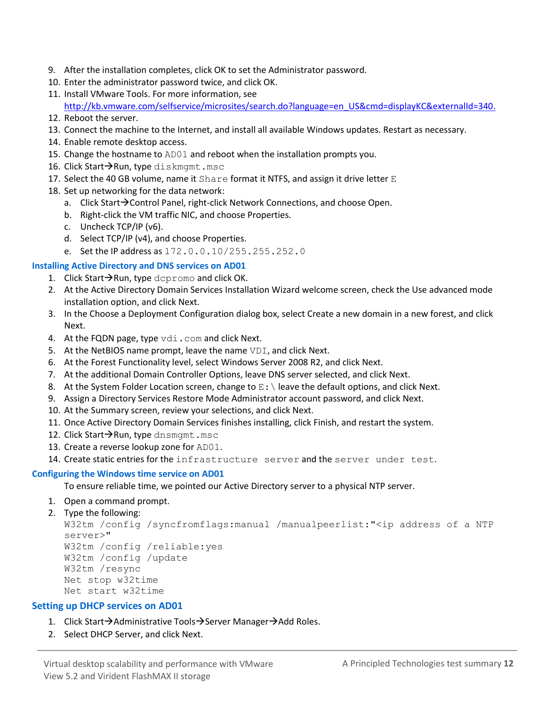- 9. After the installation completes, click OK to set the Administrator password.
- 10. Enter the administrator password twice, and click OK.
- 11. Install VMware Tools. For more information, see [http://kb.vmware.com/selfservice/microsites/search.do?language=en\\_US&cmd=displayKC&externalId=340.](http://kb.vmware.com/selfservice/microsites/search.do?language=en_US&cmd=displayKC&externalId=340)
- 12. Reboot the server.
- 13. Connect the machine to the Internet, and install all available Windows updates. Restart as necessary.
- 14. Enable remote desktop access.
- 15. Change the hostname to AD01 and reboot when the installation prompts you.
- 16. Click Start $\rightarrow$ Run, type diskmgmt.msc
- 17. Select the 40 GB volume, name it  $Share$  format it NTFS, and assign it drive letter  $E$
- 18. Set up networking for the data network:
	- a. Click Start $\rightarrow$ Control Panel, right-click Network Connections, and choose Open.
	- b. Right-click the VM traffic NIC, and choose Properties.
	- c. Uncheck TCP/IP (v6).
	- d. Select TCP/IP (v4), and choose Properties.
	- e. Set the IP address as 172.0.0.10/255.255.252.0

## **Installing Active Directory and DNS services on AD01**

- 1. Click Start $\rightarrow$ Run, type dcpromo and click OK.
- 2. At the Active Directory Domain Services Installation Wizard welcome screen, check the Use advanced mode installation option, and click Next.
- 3. In the Choose a Deployment Configuration dialog box, select Create a new domain in a new forest, and click Next.
- 4. At the FQDN page, type vdi.com and click Next.
- 5. At the NetBIOS name prompt, leave the name VDI, and click Next.
- 6. At the Forest Functionality level, select Windows Server 2008 R2, and click Next.
- 7. At the additional Domain Controller Options, leave DNS server selected, and click Next.
- 8. At the System Folder Location screen, change to  $E:\ \$  leave the default options, and click Next.
- 9. Assign a Directory Services Restore Mode Administrator account password, and click Next.
- 10. At the Summary screen, review your selections, and click Next.
- 11. Once Active Directory Domain Services finishes installing, click Finish, and restart the system.
- 12. Click Start $\rightarrow$ Run, type dnsmgmt.msc
- 13. Create a reverse lookup zone for AD01.
- 14. Create static entries for the infrastructure server and the server under test.

### **Configuring the Windows time service on AD01**

To ensure reliable time, we pointed our Active Directory server to a physical NTP server.

- 1. Open a command prompt.
- 2. Type the following:

```
W32tm /config /syncfromflags:manual /manualpeerlist:"<ip address of a NTP 
server>"
W32tm /config /reliable:yes
W32tm /config /update
W32tm /resync
Net stop w32time
Net start w32time
```
## **Setting up DHCP services on AD01**

- 1. Click Start $\rightarrow$ Administrative Tools $\rightarrow$ Server Manager $\rightarrow$ Add Roles.
- 2. Select DHCP Server, and click Next.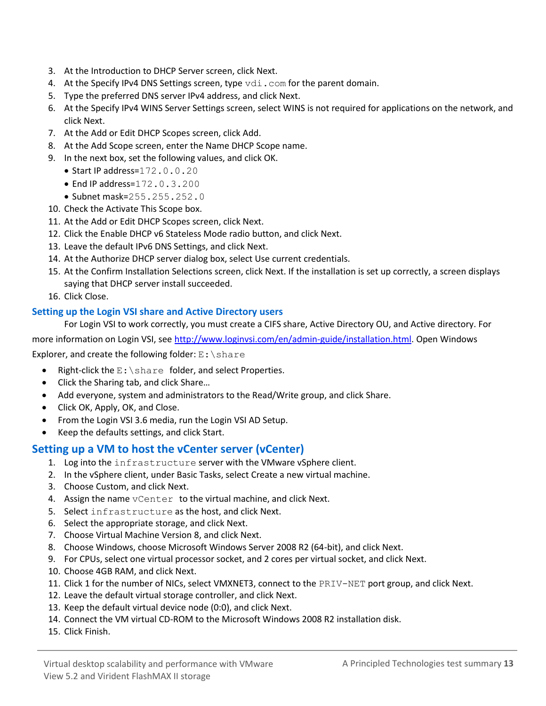- 3. At the Introduction to DHCP Server screen, click Next.
- 4. At the Specify IPv4 DNS Settings screen, type vdi.com for the parent domain.
- 5. Type the preferred DNS server IPv4 address, and click Next.
- 6. At the Specify IPv4 WINS Server Settings screen, select WINS is not required for applications on the network, and click Next.
- 7. At the Add or Edit DHCP Scopes screen, click Add.
- 8. At the Add Scope screen, enter the Name DHCP Scope name.
- 9. In the next box, set the following values, and click OK.
	- $\bullet$  Start IP address= $172.0.0.20$
	- End IP address= $172.0.3.200$
	- Subnet mask=255.255.252.0
- 10. Check the Activate This Scope box.
- 11. At the Add or Edit DHCP Scopes screen, click Next.
- 12. Click the Enable DHCP v6 Stateless Mode radio button, and click Next.
- 13. Leave the default IPv6 DNS Settings, and click Next.
- 14. At the Authorize DHCP server dialog box, select Use current credentials.
- 15. At the Confirm Installation Selections screen, click Next. If the installation is set up correctly, a screen displays saying that DHCP server install succeeded.
- 16. Click Close.

## **Setting up the Login VSI share and Active Directory users**

For Login VSI to work correctly, you must create a CIFS share, Active Directory OU, and Active directory. For more information on Login VSI, se[e http://www.loginvsi.com/en/admin-guide/installation.html.](http://www.loginvsi.com/en/admin-guide/installation.html) Open Windows

Explorer, and create the following folder:  $E:\s$ hare

- Right-click the E:\share folder, and select Properties.
- Click the Sharing tab, and click Share...
- Add everyone, system and administrators to the Read/Write group, and click Share.
- Click OK, Apply, OK, and Close.
- From the Login VSI 3.6 media, run the Login VSI AD Setup.
- Keep the defaults settings, and click Start.

## **Setting up a VM to host the vCenter server (vCenter)**

- 1. Log into the infrastructure server with the VMware vSphere client.
- 2. In the vSphere client, under Basic Tasks, select Create a new virtual machine.
- 3. Choose Custom, and click Next.
- 4. Assign the name vCenter to the virtual machine, and click Next.
- 5. Select infrastructure as the host, and click Next.
- 6. Select the appropriate storage, and click Next.
- 7. Choose Virtual Machine Version 8, and click Next.
- 8. Choose Windows, choose Microsoft Windows Server 2008 R2 (64-bit), and click Next.
- 9. For CPUs, select one virtual processor socket, and 2 cores per virtual socket, and click Next.
- 10. Choose 4GB RAM, and click Next.
- 11. Click 1 for the number of NICs, select VMXNET3, connect to the PRIV-NET port group, and click Next.
- 12. Leave the default virtual storage controller, and click Next.
- 13. Keep the default virtual device node (0:0), and click Next.
- 14. Connect the VM virtual CD-ROM to the Microsoft Windows 2008 R2 installation disk.
- 15. Click Finish.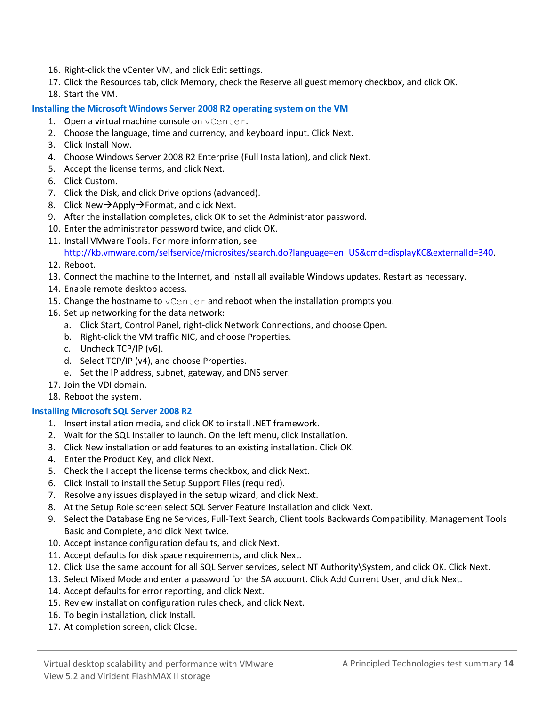- 16. Right-click the vCenter VM, and click Edit settings.
- 17. Click the Resources tab, click Memory, check the Reserve all guest memory checkbox, and click OK.
- 18. Start the VM.

### **Installing the Microsoft Windows Server 2008 R2 operating system on the VM**

- 1. Open a virtual machine console on vCenter.
- 2. Choose the language, time and currency, and keyboard input. Click Next.
- 3. Click Install Now.
- 4. Choose Windows Server 2008 R2 Enterprise (Full Installation), and click Next.
- 5. Accept the license terms, and click Next.
- 6. Click Custom.
- 7. Click the Disk, and click Drive options (advanced).
- 8. Click New $\rightarrow$ Apply $\rightarrow$ Format, and click Next.
- 9. After the installation completes, click OK to set the Administrator password.
- 10. Enter the administrator password twice, and click OK.
- 11. Install VMware Tools. For more information, see [http://kb.vmware.com/selfservice/microsites/search.do?language=en\\_US&cmd=displayKC&externalId=340.](http://kb.vmware.com/selfservice/microsites/search.do?language=en_US&cmd=displayKC&externalId=340)
- 12. Reboot.
- 13. Connect the machine to the Internet, and install all available Windows updates. Restart as necessary.
- 14. Enable remote desktop access.
- 15. Change the hostname to  $vCenter$  and reboot when the installation prompts you.
- 16. Set up networking for the data network:
	- a. Click Start, Control Panel, right-click Network Connections, and choose Open.
	- b. Right-click the VM traffic NIC, and choose Properties.
	- c. Uncheck TCP/IP (v6).
	- d. Select TCP/IP (v4), and choose Properties.
	- e. Set the IP address, subnet, gateway, and DNS server.
- 17. Join the VDI domain.
- 18. Reboot the system.

## **Installing Microsoft SQL Server 2008 R2**

- 1. Insert installation media, and click OK to install .NET framework.
- 2. Wait for the SQL Installer to launch. On the left menu, click Installation.
- 3. Click New installation or add features to an existing installation. Click OK.
- 4. Enter the Product Key, and click Next.
- 5. Check the I accept the license terms checkbox, and click Next.
- 6. Click Install to install the Setup Support Files (required).
- 7. Resolve any issues displayed in the setup wizard, and click Next.
- 8. At the Setup Role screen select SQL Server Feature Installation and click Next.
- 9. Select the Database Engine Services, Full-Text Search, Client tools Backwards Compatibility, Management Tools Basic and Complete, and click Next twice.
- 10. Accept instance configuration defaults, and click Next.
- 11. Accept defaults for disk space requirements, and click Next.
- 12. Click Use the same account for all SQL Server services, select NT Authority\System, and click OK. Click Next.
- 13. Select Mixed Mode and enter a password for the SA account. Click Add Current User, and click Next.
- 14. Accept defaults for error reporting, and click Next.
- 15. Review installation configuration rules check, and click Next.
- 16. To begin installation, click Install.
- 17. At completion screen, click Close.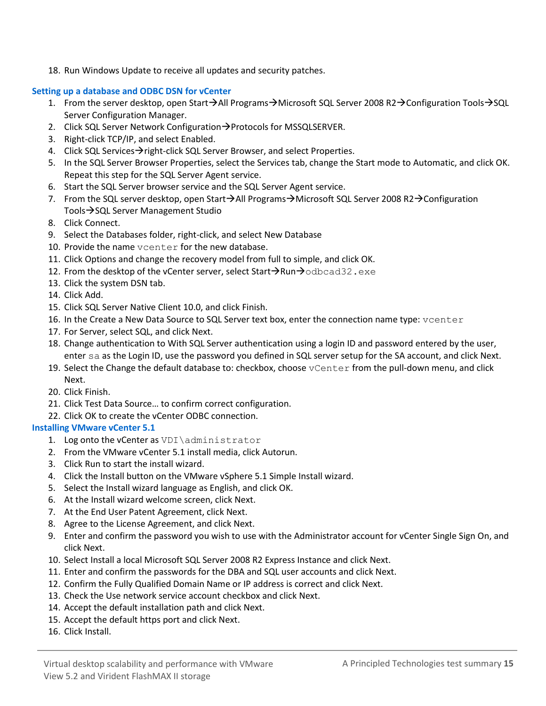18. Run Windows Update to receive all updates and security patches.

## **Setting up a database and ODBC DSN for vCenter**

- 1. From the server desktop, open Start $\rightarrow$ All Programs $\rightarrow$ Microsoft SQL Server 2008 R2 $\rightarrow$ Configuration Tools $\rightarrow$ SQL Server Configuration Manager.
- 2. Click SQL Server Network Configuration $\rightarrow$  Protocols for MSSQLSERVER.
- 3. Right-click TCP/IP, and select Enabled.
- 4. Click SQL Services $\rightarrow$  right-click SQL Server Browser, and select Properties.
- 5. In the SQL Server Browser Properties, select the Services tab, change the Start mode to Automatic, and click OK. Repeat this step for the SQL Server Agent service.
- 6. Start the SQL Server browser service and the SQL Server Agent service.
- 7. From the SQL server desktop, open Start $\rightarrow$ All Programs $\rightarrow$ Microsoft SQL Server 2008 R2 $\rightarrow$ Configuration Tools  $\rightarrow$  SQL Server Management Studio
- 8. Click Connect.
- 9. Select the Databases folder, right-click, and select New Database
- 10. Provide the name vcenter for the new database.
- 11. Click Options and change the recovery model from full to simple, and click OK.
- 12. From the desktop of the vCenter server, select Start $\rightarrow$ Run $\rightarrow$ odbcad32.exe
- 13. Click the system DSN tab.
- 14. Click Add.
- 15. Click SQL Server Native Client 10.0, and click Finish.
- 16. In the Create a New Data Source to SQL Server text box, enter the connection name type: vcenter
- 17. For Server, select SQL, and click Next.
- 18. Change authentication to With SQL Server authentication using a login ID and password entered by the user, enter sa as the Login ID, use the password you defined in SQL server setup for the SA account, and click Next.
- 19. Select the Change the default database to: checkbox, choose vCenter from the pull-down menu, and click Next.
- 20. Click Finish.
- 21. Click Test Data Source… to confirm correct configuration.
- 22. Click OK to create the vCenter ODBC connection.

## **Installing VMware vCenter 5.1**

- 1. Log onto the vCenter as VDI\administrator
- 2. From the VMware vCenter 5.1 install media, click Autorun.
- 3. Click Run to start the install wizard.
- 4. Click the Install button on the VMware vSphere 5.1 Simple Install wizard.
- 5. Select the Install wizard language as English, and click OK.
- 6. At the Install wizard welcome screen, click Next.
- 7. At the End User Patent Agreement, click Next.
- 8. Agree to the License Agreement, and click Next.
- 9. Enter and confirm the password you wish to use with the Administrator account for vCenter Single Sign On, and click Next.
- 10. Select Install a local Microsoft SQL Server 2008 R2 Express Instance and click Next.
- 11. Enter and confirm the passwords for the DBA and SQL user accounts and click Next.
- 12. Confirm the Fully Qualified Domain Name or IP address is correct and click Next.
- 13. Check the Use network service account checkbox and click Next.
- 14. Accept the default installation path and click Next.
- 15. Accept the default https port and click Next.
- 16. Click Install.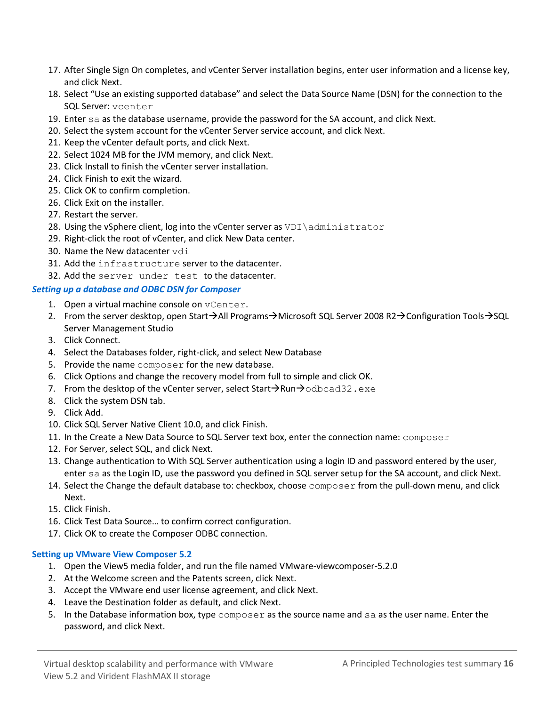- 17. After Single Sign On completes, and vCenter Server installation begins, enter user information and a license key, and click Next.
- 18. Select "Use an existing supported database" and select the Data Source Name (DSN) for the connection to the SQL Server: vcenter
- 19. Enter sa as the database username, provide the password for the SA account, and click Next.
- 20. Select the system account for the vCenter Server service account, and click Next.
- 21. Keep the vCenter default ports, and click Next.
- 22. Select 1024 MB for the JVM memory, and click Next.
- 23. Click Install to finish the vCenter server installation.
- 24. Click Finish to exit the wizard.
- 25. Click OK to confirm completion.
- 26. Click Exit on the installer.
- 27. Restart the server.
- 28. Using the vSphere client, log into the vCenter server as VDI\administrator
- 29. Right-click the root of vCenter, and click New Data center.
- 30. Name the New datacenter vdi
- 31. Add the infrastructure server to the datacenter.
- 32. Add the server under test to the datacenter.

### *Setting up a database and ODBC DSN for Composer*

- 1. Open a virtual machine console on vCenter.
- 2. From the server desktop, open Start $\rightarrow$ All Programs $\rightarrow$ Microsoft SQL Server 2008 R2 $\rightarrow$ Configuration Tools $\rightarrow$ SQL Server Management Studio
- 3. Click Connect.
- 4. Select the Databases folder, right-click, and select New Database
- 5. Provide the name composer for the new database.
- 6. Click Options and change the recovery model from full to simple and click OK.
- 7. From the desktop of the vCenter server, select Start $\rightarrow$ Run $\rightarrow$ odbcad32.exe
- 8. Click the system DSN tab.
- 9. Click Add.
- 10. Click SQL Server Native Client 10.0, and click Finish.
- 11. In the Create a New Data Source to SQL Server text box, enter the connection name: composer
- 12. For Server, select SQL, and click Next.
- 13. Change authentication to With SQL Server authentication using a login ID and password entered by the user, enter sa as the Login ID, use the password you defined in SQL server setup for the SA account, and click Next.
- 14. Select the Change the default database to: checkbox, choose composer from the pull-down menu, and click Next.
- 15. Click Finish.
- 16. Click Test Data Source… to confirm correct configuration.
- 17. Click OK to create the Composer ODBC connection.

### **Setting up VMware View Composer 5.2**

- 1. Open the View5 media folder, and run the file named VMware-viewcomposer-5.2.0
- 2. At the Welcome screen and the Patents screen, click Next.
- 3. Accept the VMware end user license agreement, and click Next.
- 4. Leave the Destination folder as default, and click Next.
- 5. In the Database information box, type composer as the source name and sa as the user name. Enter the password, and click Next.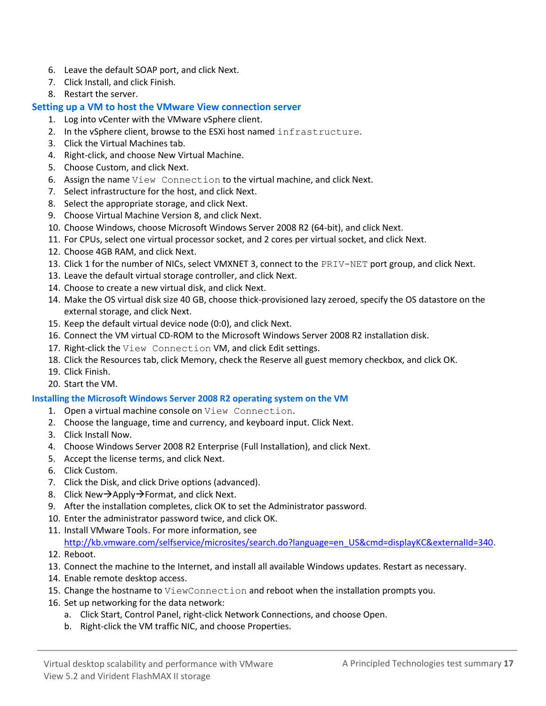- 6. Leave the default SOAP port, and click Next.
- 7. Click Install, and click Finish.
- 8. Restart the server.

## **Setting up a VM to host the VMware View connection server**

- 1. Log into vCenter with the VMware vSphere client.
- 2. In the vSphere client, browse to the ESXi host named infrastructure.
- 3. Click the Virtual Machines tab.
- 4. Right-click, and choose New Virtual Machine.
- 5. Choose Custom, and click Next.
- 6. Assign the name View Connection to the virtual machine, and click Next.
- 7. Select infrastructure for the host, and click Next.
- 8. Select the appropriate storage, and click Next.
- 9. Choose Virtual Machine Version 8, and click Next.
- 10. Choose Windows, choose Microsoft Windows Server 2008 R2 (64-bit), and click Next.
- 11. For CPUs, select one virtual processor socket, and 2 cores per virtual socket, and click Next.
- 12. Choose 4GB RAM, and click Next.
- 13. Click 1 for the number of NICs, select VMXNET 3, connect to the PRIV-NET port group, and click Next.
- 13. Leave the default virtual storage controller, and click Next.
- 14. Choose to create a new virtual disk, and click Next.
- 14. Make the OS virtual disk size 40 GB, choose thick-provisioned lazy zeroed, specify the OS datastore on the external storage, and click Next.
- 15. Keep the default virtual device node (0:0), and click Next.
- 16. Connect the VM virtual CD-ROM to the Microsoft Windows Server 2008 R2 installation disk.
- 17. Right-click the View Connection VM, and click Edit settings.
- 18. Click the Resources tab, click Memory, check the Reserve all guest memory checkbox, and click OK.
- 19. Click Finish.
- 20. Start the VM.

## **Installing the Microsoft Windows Server 2008 R2 operating system on the VM**

- 1. Open a virtual machine console on View Connection.
- 2. Choose the language, time and currency, and keyboard input. Click Next.
- 3. Click Install Now.
- 4. Choose Windows Server 2008 R2 Enterprise (Full Installation), and click Next.
- 5. Accept the license terms, and click Next.
- 6. Click Custom.
- 7. Click the Disk, and click Drive options (advanced).
- 8. Click New $\rightarrow$ Apply $\rightarrow$ Format, and click Next.
- 9. After the installation completes, click OK to set the Administrator password.
- 10. Enter the administrator password twice, and click OK.
- 11. Install VMware Tools. For more information, see

[http://kb.vmware.com/selfservice/microsites/search.do?language=en\\_US&cmd=displayKC&externalId=340.](http://kb.vmware.com/selfservice/microsites/search.do?language=en_US&cmd=displayKC&externalId=340)

- 12. Reboot.
- 13. Connect the machine to the Internet, and install all available Windows updates. Restart as necessary.
- 14. Enable remote desktop access.
- 15. Change the hostname to ViewConnection and reboot when the installation prompts you.
- 16. Set up networking for the data network:
	- a. Click Start, Control Panel, right-click Network Connections, and choose Open.
	- b. Right-click the VM traffic NIC, and choose Properties.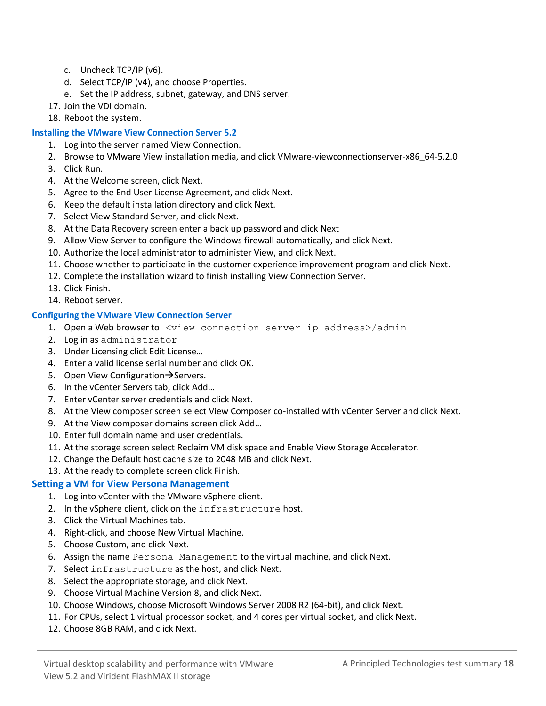- c. Uncheck TCP/IP (v6).
- d. Select TCP/IP (v4), and choose Properties.
- e. Set the IP address, subnet, gateway, and DNS server.
- 17. Join the VDI domain.
- 18. Reboot the system.

## **Installing the VMware View Connection Server 5.2**

- 1. Log into the server named View Connection.
- 2. Browse to VMware View installation media, and click VMware-viewconnectionserver-x86\_64-5.2.0
- 3. Click Run.
- 4. At the Welcome screen, click Next.
- 5. Agree to the End User License Agreement, and click Next.
- 6. Keep the default installation directory and click Next.
- 7. Select View Standard Server, and click Next.
- 8. At the Data Recovery screen enter a back up password and click Next
- 9. Allow View Server to configure the Windows firewall automatically, and click Next.
- 10. Authorize the local administrator to administer View, and click Next.
- 11. Choose whether to participate in the customer experience improvement program and click Next.
- 12. Complete the installation wizard to finish installing View Connection Server.
- 13. Click Finish.
- 14. Reboot server.

## **Configuring the VMware View Connection Server**

- 1. Open a Web browser to <view connection server ip address>/admin
- 2. Log in as administrator
- 3. Under Licensing click Edit License…
- 4. Enter a valid license serial number and click OK.
- 5. Open View Configuration  $\rightarrow$  Servers.
- 6. In the vCenter Servers tab, click Add…
- 7. Enter vCenter server credentials and click Next.
- 8. At the View composer screen select View Composer co-installed with vCenter Server and click Next.
- 9. At the View composer domains screen click Add…
- 10. Enter full domain name and user credentials.
- 11. At the storage screen select Reclaim VM disk space and Enable View Storage Accelerator.
- 12. Change the Default host cache size to 2048 MB and click Next.
- 13. At the ready to complete screen click Finish.

## **Setting a VM for View Persona Management**

- 1. Log into vCenter with the VMware vSphere client.
- 2. In the vSphere client, click on the infrastructure host.
- 3. Click the Virtual Machines tab.
- 4. Right-click, and choose New Virtual Machine.
- 5. Choose Custom, and click Next.
- 6. Assign the name Persona Management to the virtual machine, and click Next.
- 7. Select infrastructure as the host, and click Next.
- 8. Select the appropriate storage, and click Next.
- 9. Choose Virtual Machine Version 8, and click Next.
- 10. Choose Windows, choose Microsoft Windows Server 2008 R2 (64-bit), and click Next.
- 11. For CPUs, select 1 virtual processor socket, and 4 cores per virtual socket, and click Next.
- 12. Choose 8GB RAM, and click Next.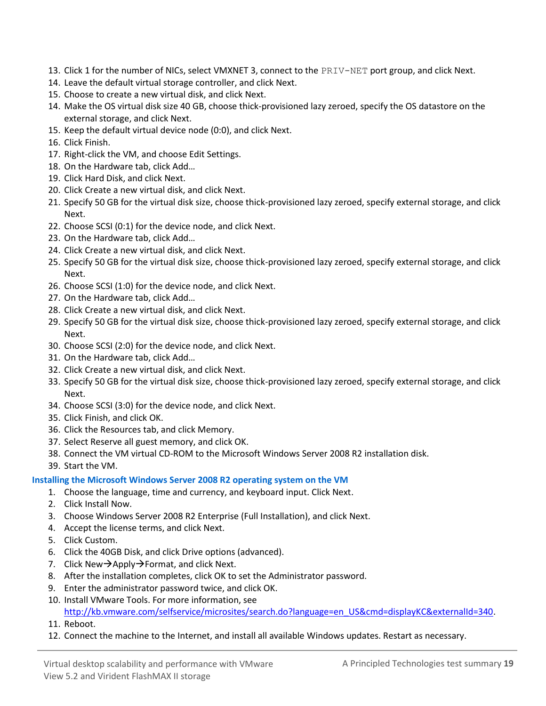- 13. Click 1 for the number of NICs, select VMXNET 3, connect to the PRIV-NET port group, and click Next.
- 14. Leave the default virtual storage controller, and click Next.
- 15. Choose to create a new virtual disk, and click Next.
- 14. Make the OS virtual disk size 40 GB, choose thick-provisioned lazy zeroed, specify the OS datastore on the external storage, and click Next.
- 15. Keep the default virtual device node (0:0), and click Next.
- 16. Click Finish.
- 17. Right-click the VM, and choose Edit Settings.
- 18. On the Hardware tab, click Add…
- 19. Click Hard Disk, and click Next.
- 20. Click Create a new virtual disk, and click Next.
- 21. Specify 50 GB for the virtual disk size, choose thick-provisioned lazy zeroed, specify external storage, and click Next.
- 22. Choose SCSI (0:1) for the device node, and click Next.
- 23. On the Hardware tab, click Add…
- 24. Click Create a new virtual disk, and click Next.
- 25. Specify 50 GB for the virtual disk size, choose thick-provisioned lazy zeroed, specify external storage, and click Next.
- 26. Choose SCSI (1:0) for the device node, and click Next.
- 27. On the Hardware tab, click Add…
- 28. Click Create a new virtual disk, and click Next.
- 29. Specify 50 GB for the virtual disk size, choose thick-provisioned lazy zeroed, specify external storage, and click Next.
- 30. Choose SCSI (2:0) for the device node, and click Next.
- 31. On the Hardware tab, click Add…
- 32. Click Create a new virtual disk, and click Next.
- 33. Specify 50 GB for the virtual disk size, choose thick-provisioned lazy zeroed, specify external storage, and click Next.
- 34. Choose SCSI (3:0) for the device node, and click Next.
- 35. Click Finish, and click OK.
- 36. Click the Resources tab, and click Memory.
- 37. Select Reserve all guest memory, and click OK.
- 38. Connect the VM virtual CD-ROM to the Microsoft Windows Server 2008 R2 installation disk.
- 39. Start the VM.

## **Installing the Microsoft Windows Server 2008 R2 operating system on the VM**

- 1. Choose the language, time and currency, and keyboard input. Click Next.
- 2. Click Install Now.
- 3. Choose Windows Server 2008 R2 Enterprise (Full Installation), and click Next.
- 4. Accept the license terms, and click Next.
- 5. Click Custom.
- 6. Click the 40GB Disk, and click Drive options (advanced).
- 7. Click New $\rightarrow$ Apply $\rightarrow$ Format, and click Next.
- 8. After the installation completes, click OK to set the Administrator password.
- 9. Enter the administrator password twice, and click OK.
- 10. Install VMware Tools. For more information, see [http://kb.vmware.com/selfservice/microsites/search.do?language=en\\_US&cmd=displayKC&externalId=340.](http://kb.vmware.com/selfservice/microsites/search.do?language=en_US&cmd=displayKC&externalId=340)
- 11. Reboot.
- 12. Connect the machine to the Internet, and install all available Windows updates. Restart as necessary.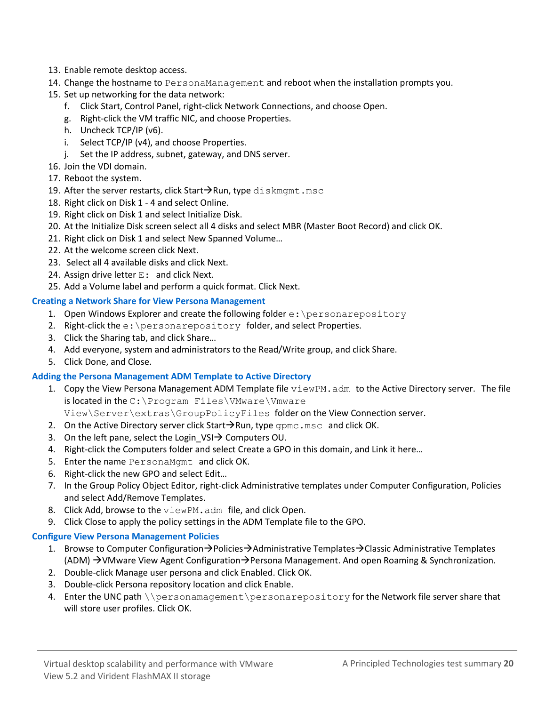- 13. Enable remote desktop access.
- 14. Change the hostname to PersonaManagement and reboot when the installation prompts you.
- 15. Set up networking for the data network:
	- f. Click Start, Control Panel, right-click Network Connections, and choose Open.
	- g. Right-click the VM traffic NIC, and choose Properties.
	- h. Uncheck TCP/IP (v6).
	- i. Select TCP/IP (v4), and choose Properties.
	- j. Set the IP address, subnet, gateway, and DNS server.
- 16. Join the VDI domain.
- 17. Reboot the system.
- 19. After the server restarts, click Start $\rightarrow$ Run, type diskmgmt.msc
- 18. Right click on Disk 1 4 and select Online.
- 19. Right click on Disk 1 and select Initialize Disk.
- 20. At the Initialize Disk screen select all 4 disks and select MBR (Master Boot Record) and click OK.
- 21. Right click on Disk 1 and select New Spanned Volume…
- 22. At the welcome screen click Next.
- 23. Select all 4 available disks and click Next.
- 24. Assign drive letter  $E$ : and click Next.
- 25. Add a Volume label and perform a quick format. Click Next.

## **Creating a Network Share for View Persona Management**

- 1. Open Windows Explorer and create the following folder  $e$ : \personarepository
- 2. Right-click the e: \personarepository folder, and select Properties.
- 3. Click the Sharing tab, and click Share…
- 4. Add everyone, system and administrators to the Read/Write group, and click Share.
- 5. Click Done, and Close.

### **Adding the Persona Management ADM Template to Active Directory**

- 1. Copy the View Persona Management ADM Template file viewPM. adm to the Active Directory server. The file is located in the C:\Program Files\VMware\Vmware View\Server\extras\GroupPolicyFiles folder on the View Connection server.
- 2. On the Active Directory server click Start $\rightarrow$ Run, type gpmc.msc and click OK.
- 3. On the left pane, select the Login  $VSI \rightarrow$  Computers OU.
- 4. Right-click the Computers folder and select Create a GPO in this domain, and Link it here…
- 5. Enter the name PersonaMgmt and click OK.
- 6. Right-click the new GPO and select Edit…
- 7. In the Group Policy Object Editor, right-click Administrative templates under Computer Configuration, Policies and select Add/Remove Templates.
- 8. Click Add, browse to the viewPM.adm file, and click Open.
- 9. Click Close to apply the policy settings in the ADM Template file to the GPO.

### **Configure View Persona Management Policies**

- 1. Browse to Computer Configuration $\rightarrow$ Policies $\rightarrow$ Administrative Templates $\rightarrow$ Classic Administrative Templates (ADM)  $\rightarrow$  VMware View Agent Configuration $\rightarrow$  Persona Management. And open Roaming & Synchronization.
- 2. Double-click Manage user persona and click Enabled. Click OK.
- 3. Double-click Persona repository location and click Enable.
- 4. Enter the UNC path \\personamagement\personarepository for the Network file server share that will store user profiles. Click OK.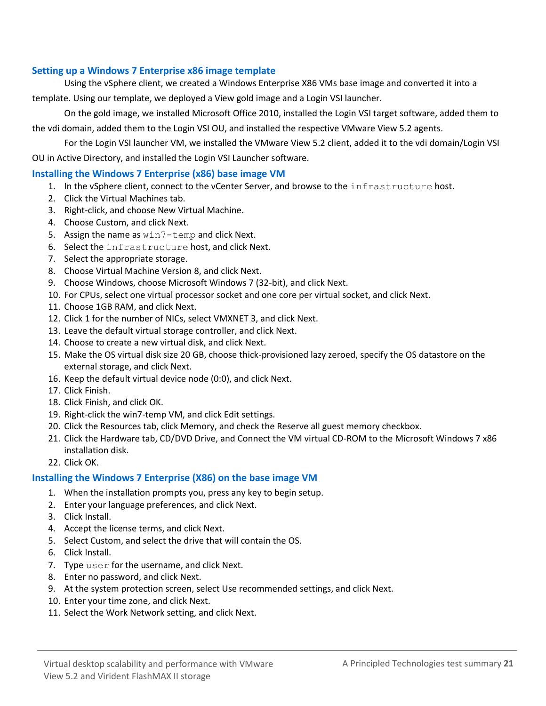## **Setting up a Windows 7 Enterprise x86 image template**

Using the vSphere client, we created a Windows Enterprise X86 VMs base image and converted it into a

template. Using our template, we deployed a View gold image and a Login VSI launcher.

On the gold image, we installed Microsoft Office 2010, installed the Login VSI target software, added them to the vdi domain, added them to the Login VSI OU, and installed the respective VMware View 5.2 agents.

For the Login VSI launcher VM, we installed the VMware View 5.2 client, added it to the vdi domain/Login VSI OU in Active Directory, and installed the Login VSI Launcher software.

### **Installing the Windows 7 Enterprise (x86) base image VM**

- 1. In the vSphere client, connect to the vCenter Server, and browse to the infrastructure host.
- 2. Click the Virtual Machines tab.
- 3. Right-click, and choose New Virtual Machine.
- 4. Choose Custom, and click Next.
- 5. Assign the name as win7-temp and click Next.
- 6. Select the infrastructure host, and click Next.
- 7. Select the appropriate storage.
- 8. Choose Virtual Machine Version 8, and click Next.
- 9. Choose Windows, choose Microsoft Windows 7 (32-bit), and click Next.
- 10. For CPUs, select one virtual processor socket and one core per virtual socket, and click Next.
- 11. Choose 1GB RAM, and click Next.
- 12. Click 1 for the number of NICs, select VMXNET 3, and click Next.
- 13. Leave the default virtual storage controller, and click Next.
- 14. Choose to create a new virtual disk, and click Next.
- 15. Make the OS virtual disk size 20 GB, choose thick-provisioned lazy zeroed, specify the OS datastore on the external storage, and click Next.
- 16. Keep the default virtual device node (0:0), and click Next.
- 17. Click Finish.
- 18. Click Finish, and click OK.
- 19. Right-click the win7-temp VM, and click Edit settings.
- 20. Click the Resources tab, click Memory, and check the Reserve all guest memory checkbox.
- 21. Click the Hardware tab, CD/DVD Drive, and Connect the VM virtual CD-ROM to the Microsoft Windows 7 x86 installation disk.
- 22. Click OK.

## **Installing the Windows 7 Enterprise (X86) on the base image VM**

- 1. When the installation prompts you, press any key to begin setup.
- 2. Enter your language preferences, and click Next.
- 3. Click Install.
- 4. Accept the license terms, and click Next.
- 5. Select Custom, and select the drive that will contain the OS.
- 6. Click Install.
- 7. Type user for the username, and click Next.
- 8. Enter no password, and click Next.
- 9. At the system protection screen, select Use recommended settings, and click Next.
- 10. Enter your time zone, and click Next.
- 11. Select the Work Network setting, and click Next.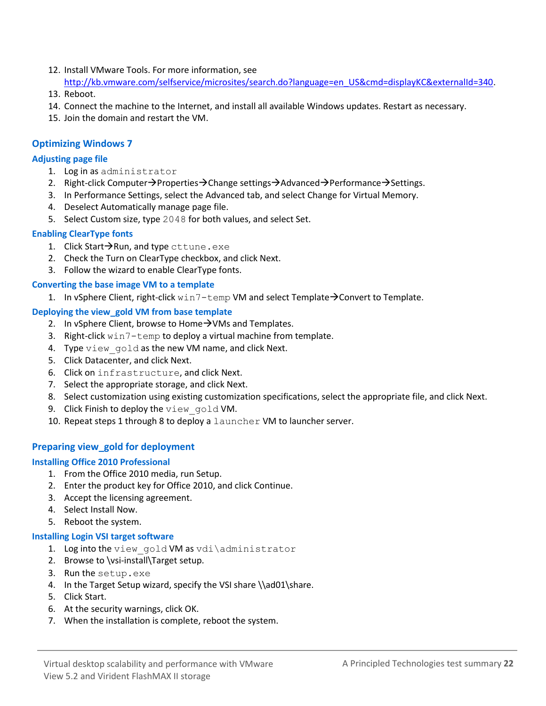- 12. Install VMware Tools. For more information, see [http://kb.vmware.com/selfservice/microsites/search.do?language=en\\_US&cmd=displayKC&externalId=340.](http://kb.vmware.com/selfservice/microsites/search.do?language=en_US&cmd=displayKC&externalId=340)
- 13. Reboot.
- 14. Connect the machine to the Internet, and install all available Windows updates. Restart as necessary.
- 15. Join the domain and restart the VM.

### **Optimizing Windows 7**

#### **Adjusting page file**

- 1. Log in as administrator
- 2. Right-click Computer $\rightarrow$ Properties $\rightarrow$ Change settings $\rightarrow$ Advanced $\rightarrow$ Performance $\rightarrow$ Settings.
- 3. In Performance Settings, select the Advanced tab, and select Change for Virtual Memory.
- 4. Deselect Automatically manage page file.
- 5. Select Custom size, type 2048 for both values, and select Set.

#### **Enabling ClearType fonts**

- 1. Click Start $\rightarrow$ Run, and type cttune.exe
- 2. Check the Turn on ClearType checkbox, and click Next.
- 3. Follow the wizard to enable ClearType fonts.

#### **Converting the base image VM to a template**

1. In vSphere Client, right-click  $\text{win7-temp VM}$  and select Template $\rightarrow$  Convert to Template.

### **Deploying the view\_gold VM from base template**

- 2. In vSphere Client, browse to Home $\rightarrow$ VMs and Templates.
- 3. Right-click win7-temp to deploy a virtual machine from template.
- 4. Type view gold as the new VM name, and click Next.
- 5. Click Datacenter, and click Next.
- 6. Click on infrastructure, and click Next.
- 7. Select the appropriate storage, and click Next.
- 8. Select customization using existing customization specifications, select the appropriate file, and click Next.
- 9. Click Finish to deploy the view gold VM.
- 10. Repeat steps 1 through 8 to deploy a launcher VM to launcher server.

### **Preparing view\_gold for deployment**

#### **Installing Office 2010 Professional**

- 1. From the Office 2010 media, run Setup.
- 2. Enter the product key for Office 2010, and click Continue.
- 3. Accept the licensing agreement.
- 4. Select Install Now.
- 5. Reboot the system.

#### **Installing Login VSI target software**

- 1. Log into the view gold VM as vdi\administrator
- 2. Browse to \vsi-install\Target setup.
- 3. Run the setup.exe
- 4. In the Target Setup wizard, specify the VSI share \\ad01\share.
- 5. Click Start.
- 6. At the security warnings, click OK.
- 7. When the installation is complete, reboot the system.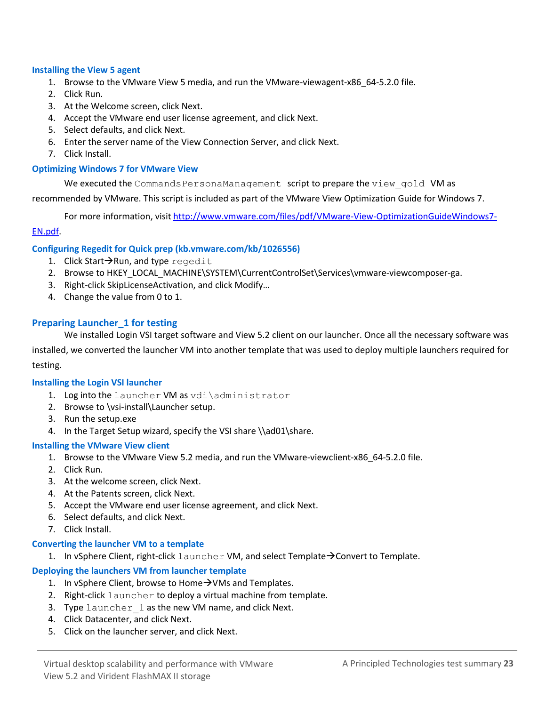#### **Installing the View 5 agent**

- 1. Browse to the VMware View 5 media, and run the VMware-viewagent-x86\_64-5.2.0 file.
- 2. Click Run.
- 3. At the Welcome screen, click Next.
- 4. Accept the VMware end user license agreement, and click Next.
- 5. Select defaults, and click Next.
- 6. Enter the server name of the View Connection Server, and click Next.
- 7. Click Install.

#### **Optimizing Windows 7 for VMware View**

We executed the CommandsPersonaManagement script to prepare the view gold VM as

recommended by VMware. This script is included as part of the VMware View Optimization Guide for Windows 7.

For more information, visi[t http://www.vmware.com/files/pdf/VMware-View-OptimizationGuideWindows7-](http://www.vmware.com/files/pdf/VMware-View-OptimizationGuideWindows7-EN.pdf)

#### [EN.pdf.](http://www.vmware.com/files/pdf/VMware-View-OptimizationGuideWindows7-EN.pdf)

#### **Configuring Regedit for Quick prep (kb.vmware.com/kb/1026556)**

- 1. Click Start $\rightarrow$ Run, and type regedit
- 2. Browse to HKEY\_LOCAL\_MACHINE\SYSTEM\CurrentControlSet\Services\vmware-viewcomposer-ga.
- 3. Right-click SkipLicenseActivation, and click Modify…
- 4. Change the value from 0 to 1.

### **Preparing Launcher\_1 for testing**

We installed Login VSI target software and View 5.2 client on our launcher. Once all the necessary software was

installed, we converted the launcher VM into another template that was used to deploy multiple launchers required for testing.

#### **Installing the Login VSI launcher**

- 1. Log into the launcher VM as vdi\administrator
- 2. Browse to \vsi-install\Launcher setup.
- 3. Run the setup.exe
- 4. In the Target Setup wizard, specify the VSI share \\ad01\share.

#### **Installing the VMware View client**

- 1. Browse to the VMware View 5.2 media, and run the VMware-viewclient-x86\_64-5.2.0 file.
- 2. Click Run.
- 3. At the welcome screen, click Next.
- 4. At the Patents screen, click Next.
- 5. Accept the VMware end user license agreement, and click Next.
- 6. Select defaults, and click Next.
- 7. Click Install.

#### **Converting the launcher VM to a template**

1. In vSphere Client, right-click  $l$  auncher VM, and select Template $\rightarrow$  Convert to Template.

### **Deploying the launchers VM from launcher template**

- 1. In vSphere Client, browse to Home  $\rightarrow$  VMs and Templates.
- 2. Right-click launcher to deploy a virtual machine from template.
- 3. Type launcher 1 as the new VM name, and click Next.
- 4. Click Datacenter, and click Next.
- 5. Click on the launcher server, and click Next.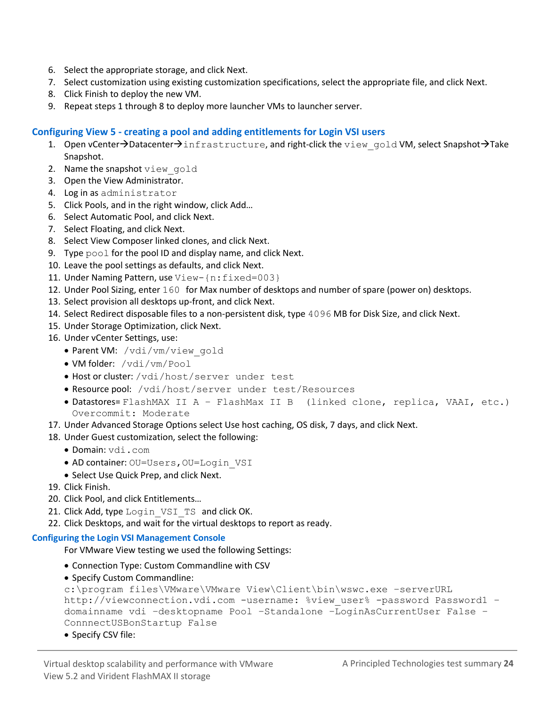- 6. Select the appropriate storage, and click Next.
- 7. Select customization using existing customization specifications, select the appropriate file, and click Next.
- 8. Click Finish to deploy the new VM.
- 9. Repeat steps 1 through 8 to deploy more launcher VMs to launcher server.

## **Configuring View 5 - creating a pool and adding entitlements for Login VSI users**

- 1. Open vCenter $\rightarrow$ Datacenter $\rightarrow$ infrastructure, and right-click the view gold VM, select Snapshot $\rightarrow$ Take Snapshot.
- 2. Name the snapshot view gold
- 3. Open the View Administrator.
- 4. Log in as administrator
- 5. Click Pools, and in the right window, click Add…
- 6. Select Automatic Pool, and click Next.
- 7. Select Floating, and click Next.
- 8. Select View Composer linked clones, and click Next.
- 9. Type pool for the pool ID and display name, and click Next.
- 10. Leave the pool settings as defaults, and click Next.
- 11. Under Naming Pattern, use View-{n:fixed=003}
- 12. Under Pool Sizing, enter 160 for Max number of desktops and number of spare (power on) desktops.
- 13. Select provision all desktops up-front, and click Next.
- 14. Select Redirect disposable files to a non-persistent disk, type 4096 MB for Disk Size, and click Next.
- 15. Under Storage Optimization, click Next.
- 16. Under vCenter Settings, use:
	- Parent VM: /vdi/vm/view\_gold
	- VM folder: /vdi/vm/Pool
	- Host or cluster: /vdi/host/server under test
	- Resource pool: /vdi/host/server under test/Resources
	- Datastores= FlashMAX II A FlashMax II B (linked clone, replica, VAAI, etc.) Overcommit: Moderate
- 17. Under Advanced Storage Options select Use host caching, OS disk, 7 days, and click Next.
- 18. Under Guest customization, select the following:
	- Domain: vdi.com
	- AD container: OU=Users, OU=Login VSI
	- Select Use Quick Prep, and click Next.
- 19. Click Finish.
- 20. Click Pool, and click Entitlements…
- 21. Click Add, type Login VSI TS and click OK.
- 22. Click Desktops, and wait for the virtual desktops to report as ready.

### **Configuring the Login VSI Management Console**

For VMware View testing we used the following Settings:

- Connection Type: Custom Commandline with CSV
- Specify Custom Commandline:

```
c:\program files\VMware\VMware View\Client\bin\wswc.exe –serverURL 
http://viewconnection.vdi.com -username: %view user% -password Password1 -
domainname vdi –desktopname Pool –Standalone –LoginAsCurrentUser False –
ConnnectUSBonStartup False
```
• Specify CSV file: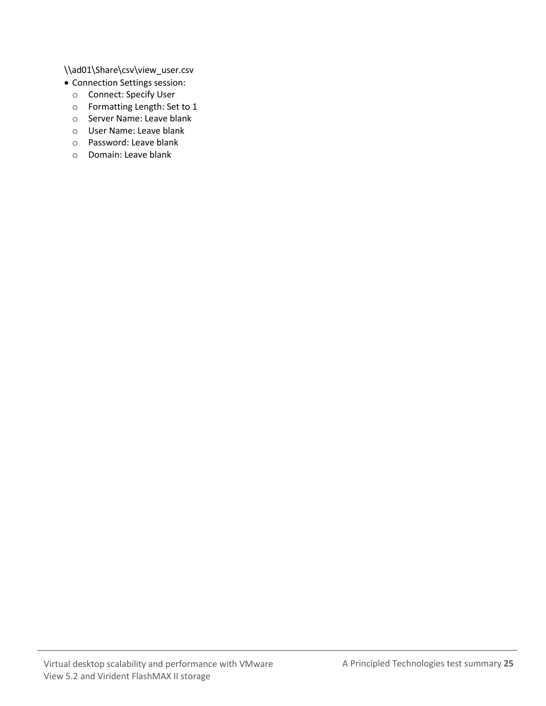\\ad01\Share\csv\view\_user.csv

- Connection Settings session:
	- o Connect: Specify User
	- o Formatting Length: Set to 1
	- o Server Name: Leave blank
	- o User Name: Leave blank
	- o Password: Leave blank
	- o Domain: Leave blank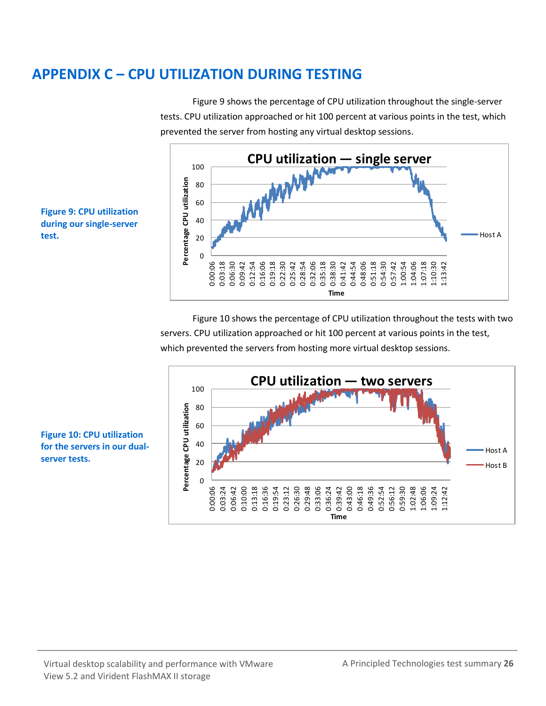## <span id="page-25-0"></span>**APPENDIX C – CPU UTILIZATION DURING TESTING**

Figure 9 shows the percentage of CPU utilization throughout the single-server tests. CPU utilization approached or hit 100 percent at various points in the test, which prevented the server from hosting any virtual desktop sessions.





Figure 10 shows the percentage of CPU utilization throughout the tests with two servers. CPU utilization approached or hit 100 percent at various points in the test, which prevented the servers from hosting more virtual desktop sessions.



**Figure 10: CPU utilization for the servers in our dualserver tests.**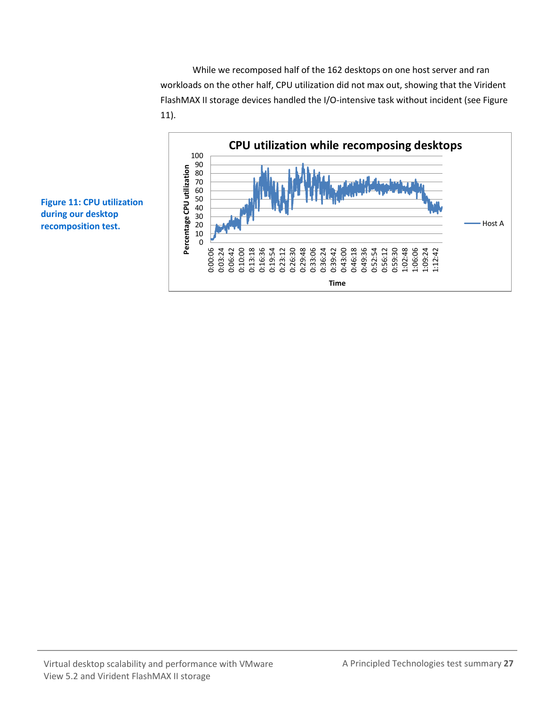While we recomposed half of the 162 desktops on one host server and ran workloads on the other half, CPU utilization did not max out, showing that the Virident FlashMAX II storage devices handled the I/O-intensive task without incident (see Figure 11).



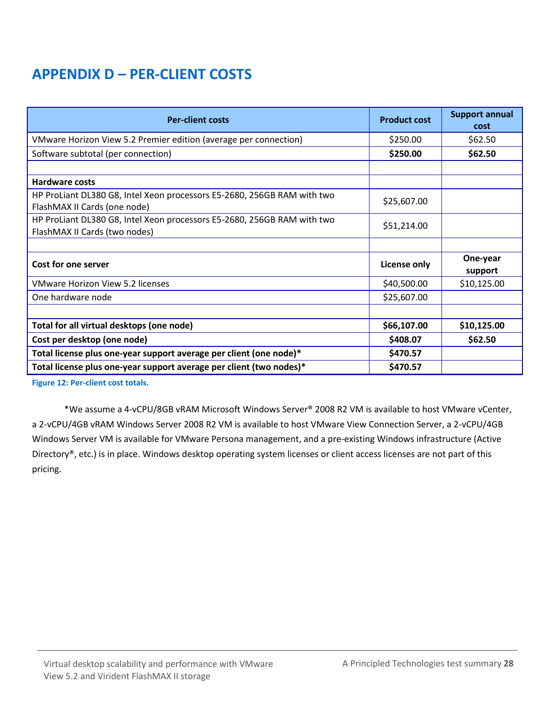## **APPENDIX D – PER-CLIENT COSTS**

| <b>Per-client costs</b>                                                                                  | <b>Product cost</b> | <b>Support annual</b><br>cost |
|----------------------------------------------------------------------------------------------------------|---------------------|-------------------------------|
| VMware Horizon View 5.2 Premier edition (average per connection)                                         | \$250.00            | \$62.50                       |
| Software subtotal (per connection)                                                                       | \$250.00            | \$62.50                       |
|                                                                                                          |                     |                               |
| <b>Hardware costs</b>                                                                                    |                     |                               |
| HP ProLiant DL380 G8, Intel Xeon processors E5-2680, 256GB RAM with two<br>FlashMAX II Cards (one node)  | \$25,607.00         |                               |
| HP ProLiant DL380 G8, Intel Xeon processors E5-2680, 256GB RAM with two<br>FlashMAX II Cards (two nodes) | \$51,214.00         |                               |
|                                                                                                          |                     |                               |
| Cost for one server                                                                                      | <b>License only</b> | One-year<br>support           |
| <b>VMware Horizon View 5.2 licenses</b>                                                                  | \$40,500.00         | \$10,125.00                   |
| One hardware node                                                                                        | \$25,607.00         |                               |
|                                                                                                          |                     |                               |
| Total for all virtual desktops (one node)                                                                | \$66,107.00         | \$10,125.00                   |
| Cost per desktop (one node)                                                                              | \$408.07            | \$62.50                       |
| Total license plus one-year support average per client (one node)*                                       | \$470.57            |                               |
| Total license plus one-year support average per client (two nodes)*                                      | \$470.57            |                               |

**Figure 12: Per-client cost totals.**

\*We assume a 4-vCPU/8GB vRAM Microsoft Windows Server® 2008 R2 VM is available to host VMware vCenter, a 2-vCPU/4GB vRAM Windows Server 2008 R2 VM is available to host VMware View Connection Server, a 2-vCPU/4GB Windows Server VM is available for VMware Persona management, and a pre-existing Windows infrastructure (Active Directory®, etc.) is in place. Windows desktop operating system licenses or client access licenses are not part of this pricing.